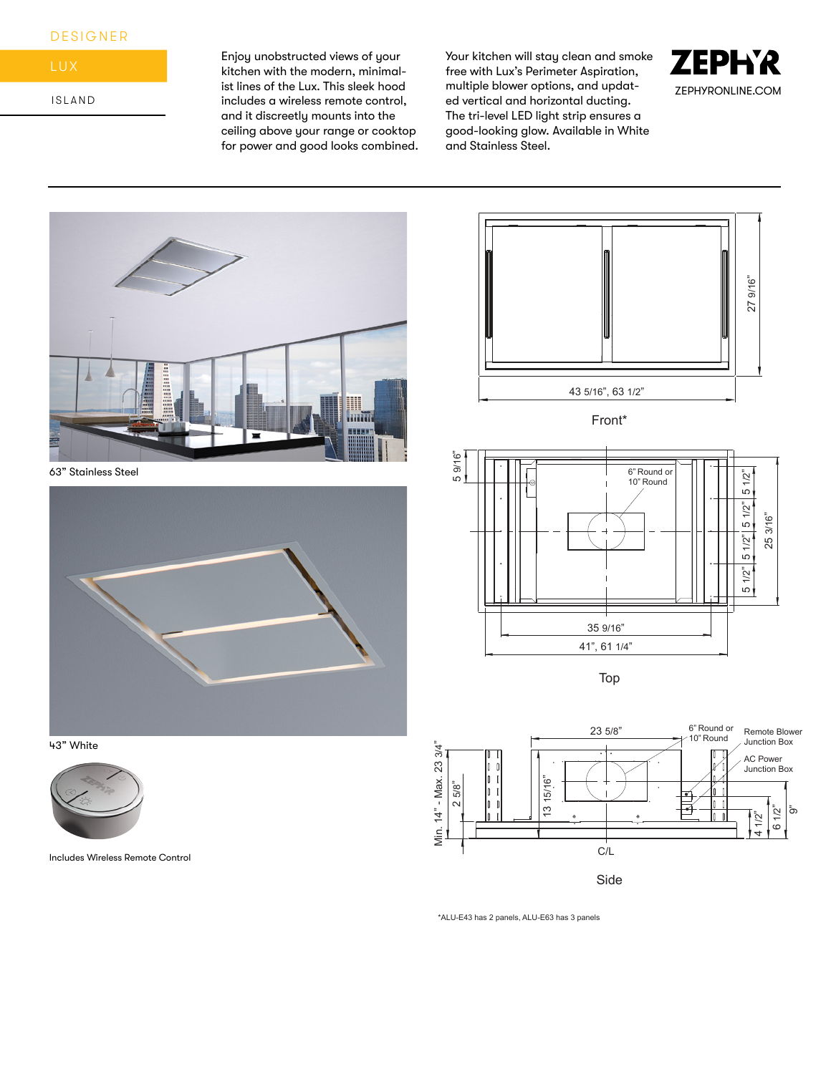## DESIGNER



ISLAND

Enjoy unobstructed views of your kitchen with the modern, minimalist lines of the Lux. This sleek hood includes a wireless remote control, and it discreetly mounts into the ceiling above your range or cooktop for power and good looks combined. Your kitchen will stay clean and smoke free with Lux's Perimeter Aspiration, multiple blower options, and updated vertical and horizontal ducting. The tri-level LED light strip ensures a good-looking glow. Available in White and Stainless Steel.





63" Stainless Steel







Includes Wireless Remote Control





\*ALU-E43 has 2 panels, ALU-E63 has 3 panels